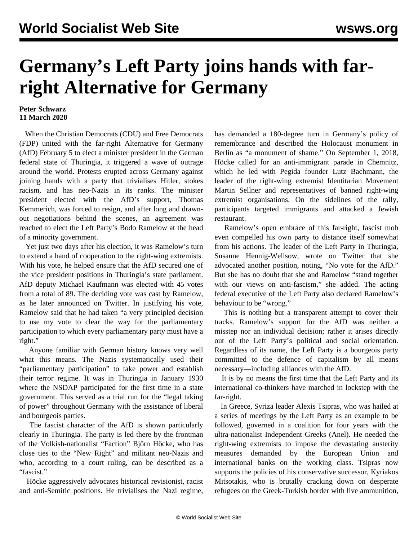## **Germany's Left Party joins hands with farright Alternative for Germany**

## **Peter Schwarz 11 March 2020**

 When the Christian Democrats (CDU) and Free Democrats (FDP) united with the far-right Alternative for Germany (AfD) February 5 to elect a minister president in the German federal state of Thuringia, it triggered a wave of outrage around the world. Protests erupted across Germany against joining hands with a party that trivialises Hitler, stokes racism, and has neo-Nazis in its ranks. The minister president elected with the AfD's support, Thomas Kemmerich, was forced to resign, and after long and drawnout negotiations behind the scenes, an agreement was reached to elect the Left Party's Bodo Ramelow at the head of a minority government.

 Yet just two days after his election, it was Ramelow's turn to extend a hand of cooperation to the right-wing extremists. With his vote, he helped ensure that the AfD secured one of the vice president positions in Thuringia's state parliament. AfD deputy Michael Kaufmann was elected with 45 votes from a total of 89. The deciding vote was cast by Ramelow, as he later announced on Twitter. In justifying his vote, Ramelow said that he had taken "a very principled decision to use my vote to clear the way for the parliamentary participation to which every parliamentary party must have a right."

 Anyone familiar with German history knows very well what this means. The Nazis systematically used their "parliamentary participation" to take power and establish their terror regime. It was in Thuringia in January 1930 where the NSDAP participated for the first time in a state government. This served as a trial run for the "legal taking of power" throughout Germany with the assistance of liberal and bourgeois parties.

 The fascist character of the AfD is shown particularly clearly in Thuringia. The party is led there by the frontman of the Volkish-nationalist "Faction" Björn Höcke, who has close ties to the "New Right" and militant neo-Nazis and who, according to a court ruling, can be described as a "fascist."

 Höcke aggressively advocates historical revisionist, racist and anti-Semitic positions. He trivialises the Nazi regime, has demanded a 180-degree turn in Germany's policy of remembrance and described the Holocaust monument in Berlin as "a monument of shame." On September 1, 2018, Höcke called for an anti-immigrant parade in Chemnitz, which he led with Pegida founder Lutz Bachmann, the leader of the right-wing extremist Identitarian Movement Martin Sellner and representatives of banned right-wing extremist organisations. On the sidelines of the rally, participants targeted immigrants and attacked a Jewish restaurant.

 Ramelow's open embrace of this far-right, fascist mob even compelled his own party to distance itself somewhat from his actions. The leader of the Left Party in Thuringia, Susanne Hennig-Wellsow, wrote on Twitter that she advocated another position, noting, "No vote for the AfD." But she has no doubt that she and Ramelow "stand together with our views on anti-fascism," she added. The acting federal executive of the Left Party also declared Ramelow's behaviour to be "wrong."

 This is nothing but a transparent attempt to cover their tracks. Ramelow's support for the AfD was neither a misstep nor an individual decision; rather it arises directly out of the Left Party's political and social orientation. Regardless of its name, the Left Party is a bourgeois party committed to the defence of capitalism by all means necessary—including alliances with the AfD.

 It is by no means the first time that the Left Party and its international co-thinkers have marched in lockstep with the far-right.

 In Greece, Syriza leader Alexis Tsipras, who was hailed at a series of meetings by the Left Party as an example to be followed, governed in a coalition for four years with the ultra-nationalist Independent Greeks (Anel). He needed the right-wing extremists to impose the devastating austerity measures demanded by the European Union and international banks on the working class. Tsipras now supports the policies of his conservative successor, Kyriakos Mitsotakis, who is brutally cracking down on desperate refugees on the Greek-Turkish border with live ammunition,